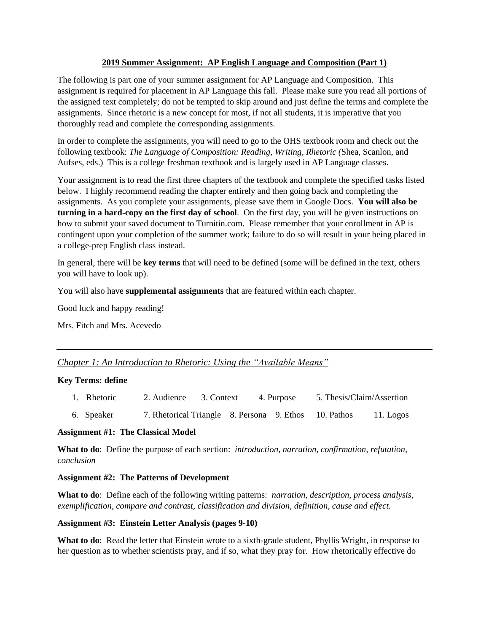# **2019 Summer Assignment: AP English Language and Composition (Part 1)**

The following is part one of your summer assignment for AP Language and Composition. This assignment is required for placement in AP Language this fall. Please make sure you read all portions of the assigned text completely; do not be tempted to skip around and just define the terms and complete the assignments. Since rhetoric is a new concept for most, if not all students, it is imperative that you thoroughly read and complete the corresponding assignments.

In order to complete the assignments, you will need to go to the OHS textbook room and check out the following textbook: *The Language of Composition: Reading, Writing, Rhetoric (*Shea, Scanlon, and Aufses, eds.) This is a college freshman textbook and is largely used in AP Language classes.

Your assignment is to read the first three chapters of the textbook and complete the specified tasks listed below. I highly recommend reading the chapter entirely and then going back and completing the assignments. As you complete your assignments, please save them in Google Docs. **You will also be turning in a hard-copy on the first day of school**. On the first day, you will be given instructions on how to submit your saved document to Turnitin.com. Please remember that your enrollment in AP is contingent upon your completion of the summer work; failure to do so will result in your being placed in a college-prep English class instead.

In general, there will be **key terms** that will need to be defined (some will be defined in the text, others you will have to look up).

You will also have **supplemental assignments** that are featured within each chapter.

Good luck and happy reading!

Mrs. Fitch and Mrs. Acevedo

# *Chapter 1: An Introduction to Rhetoric: Using the "Available Means"*

# **Key Terms: define**

- 1. Rhetoric 2. Audience 3. Context 4. Purpose 5. Thesis/Claim/Assertion
- 6. Speaker 7. Rhetorical Triangle 8. Persona 9. Ethos 10. Pathos 11. Logos

# **Assignment #1: The Classical Model**

**What to do**: Define the purpose of each section: *introduction, narration, confirmation, refutation, conclusion*

# **Assignment #2: The Patterns of Development**

**What to do**: Define each of the following writing patterns: *narration, description, process analysis, exemplification, compare and contrast, classification and division, definition, cause and effect.*

# **Assignment #3: Einstein Letter Analysis (pages 9-10)**

**What to do**: Read the letter that Einstein wrote to a sixth-grade student, Phyllis Wright, in response to her question as to whether scientists pray, and if so, what they pray for. How rhetorically effective do